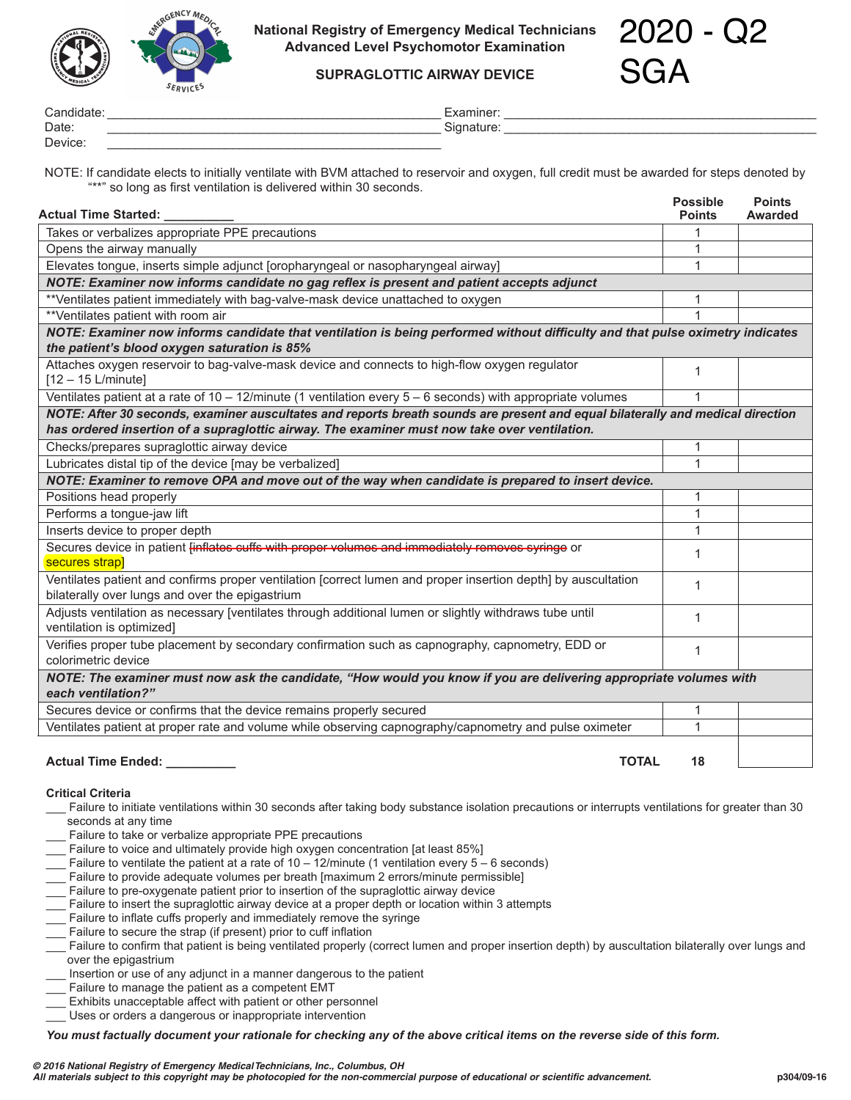

**National Registry of Emergency Medical Technicians Advanced Level Psychomotor Examination**

2020 - Q2 SGA

**SUPRAGLOTTIC AIRWAY DEVICE**

| Candida <sub>te</sub> | пшег<br>⊿               |
|-----------------------|-------------------------|
| Date.                 | $\sim$<br>nature<br>אוכ |
| Device.               |                         |

NOTE: If candidate elects to initially ventilate with BVM attached to reservoir and oxygen, full credit must be awarded for steps denoted by "\*\*" so long as first ventilation is delivered within 30 seconds.

| <b>Actual Time Started:</b>                                                                                                                                      | <b>Possible</b><br><b>Points</b> | <b>Points</b><br>Awarded |  |  |
|------------------------------------------------------------------------------------------------------------------------------------------------------------------|----------------------------------|--------------------------|--|--|
| Takes or verbalizes appropriate PPE precautions                                                                                                                  |                                  |                          |  |  |
| Opens the airway manually                                                                                                                                        | 1                                |                          |  |  |
| Elevates tongue, inserts simple adjunct [oropharyngeal or nasopharyngeal airway]                                                                                 | $\mathbf 1$                      |                          |  |  |
| NOTE: Examiner now informs candidate no gag reflex is present and patient accepts adjunct                                                                        |                                  |                          |  |  |
| **Ventilates patient immediately with bag-valve-mask device unattached to oxygen                                                                                 |                                  |                          |  |  |
| **Ventilates patient with room air                                                                                                                               | 1                                |                          |  |  |
| NOTE: Examiner now informs candidate that ventilation is being performed without difficulty and that pulse oximetry indicates                                    |                                  |                          |  |  |
| the patient's blood oxygen saturation is 85%                                                                                                                     |                                  |                          |  |  |
| Attaches oxygen reservoir to bag-valve-mask device and connects to high-flow oxygen regulator<br>$[12 - 15$ L/minute]                                            | 1                                |                          |  |  |
| Ventilates patient at a rate of $10 - 12$ /minute (1 ventilation every $5 - 6$ seconds) with appropriate volumes                                                 |                                  |                          |  |  |
| NOTE: After 30 seconds, examiner auscultates and reports breath sounds are present and equal bilaterally and medical direction                                   |                                  |                          |  |  |
| has ordered insertion of a supraglottic airway. The examiner must now take over ventilation.                                                                     |                                  |                          |  |  |
| Checks/prepares supraglottic airway device                                                                                                                       | 1                                |                          |  |  |
| Lubricates distal tip of the device [may be verbalized]                                                                                                          | 1                                |                          |  |  |
| NOTE: Examiner to remove OPA and move out of the way when candidate is prepared to insert device.                                                                |                                  |                          |  |  |
| Positions head properly                                                                                                                                          | 1                                |                          |  |  |
| Performs a tongue-jaw lift                                                                                                                                       | 1                                |                          |  |  |
| Inserts device to proper depth                                                                                                                                   | 1                                |                          |  |  |
| Secures device in patient finflates cuffs with proper volumes and immediately removes syringe or<br>secures strap]                                               | 1                                |                          |  |  |
| Ventilates patient and confirms proper ventilation [correct lumen and proper insertion depth] by auscultation<br>bilaterally over lungs and over the epigastrium | $\mathbf 1$                      |                          |  |  |
| Adjusts ventilation as necessary [ventilates through additional lumen or slightly withdraws tube until<br>ventilation is optimized]                              | 1                                |                          |  |  |
| Verifies proper tube placement by secondary confirmation such as capnography, capnometry, EDD or<br>colorimetric device                                          | $\mathbf 1$                      |                          |  |  |
| NOTE: The examiner must now ask the candidate, "How would you know if you are delivering appropriate volumes with<br>each ventilation?"                          |                                  |                          |  |  |
| Secures device or confirms that the device remains properly secured                                                                                              | 1                                |                          |  |  |
| Ventilates patient at proper rate and volume while observing capnography/capnometry and pulse oximeter                                                           | 1                                |                          |  |  |
| <b>TOTAL</b><br><b>Actual Time Ended:</b>                                                                                                                        | 18                               |                          |  |  |

## **Critical Criteria**

- \_\_\_ Failure to initiate ventilations within 30 seconds after taking body substance isolation precautions or interrupts ventilations for greater than 30 seconds at any time
- Failure to take or verbalize appropriate PPE precautions
- Failure to voice and ultimately provide high oxygen concentration [at least 85%]
- Failure to ventilate the patient at a rate of 10 12/minute (1 ventilation every  $5 6$  seconds)
- Failure to provide adequate volumes per breath [maximum 2 errors/minute permissible]
- Failure to pre-oxygenate patient prior to insertion of the supraglottic airway device
- Failure to insert the supraglottic airway device at a proper depth or location within 3 attempts
- Failure to inflate cuffs properly and immediately remove the syringe
- Failure to secure the strap (if present) prior to cuff inflation
- Failure to confirm that patient is being ventilated properly (correct lumen and proper insertion depth) by auscultation bilaterally over lungs and over the epigastrium
- Insertion or use of any adjunct in a manner dangerous to the patient
- Failure to manage the patient as a competent EMT
- Exhibits unacceptable affect with patient or other personnel
- \_\_\_ Uses or orders a dangerous or inappropriate intervention

*You must factually document your rationale for checking any of the above critical items on the reverse side of this form.*

*© 2016 National Registry of Emergency Medical Technicians, Inc., Columbus, OH*

*All materials subject to this copyright may be photocopied for the non-commercial purpose of educational or scientific advancement.* **p304/09-16**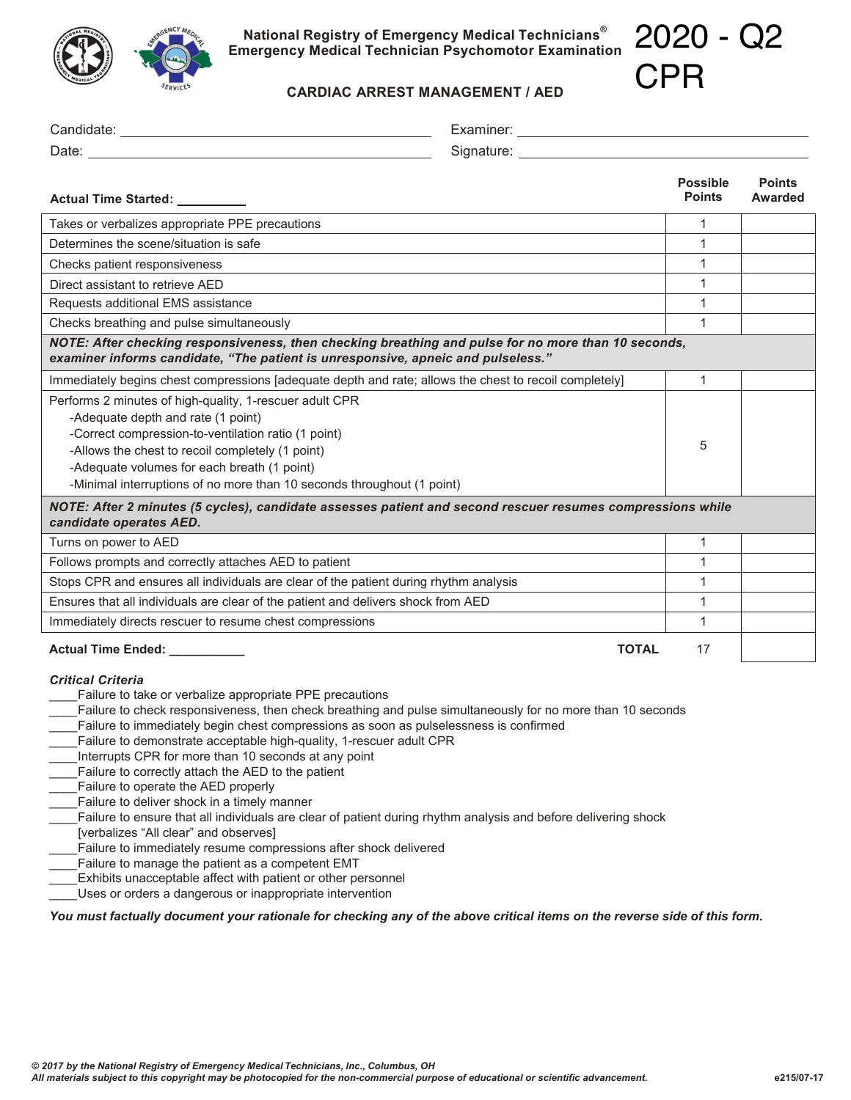

**National Registry of Emergency Medical Technicians® Emergency Medical Technician Psychomotor Examination** 2020 - Q2

 $\cap$ DD

| <b>EDICAL</b><br><b>SERVICES</b><br><b>CARDIAC ARREST MANAGEMENT / AED</b>                                                                                                                                                                                                                                                                                                                                                                                                                                                                                                                                                                                                                                                                                                                            |              | ノーーー                             |                                 |
|-------------------------------------------------------------------------------------------------------------------------------------------------------------------------------------------------------------------------------------------------------------------------------------------------------------------------------------------------------------------------------------------------------------------------------------------------------------------------------------------------------------------------------------------------------------------------------------------------------------------------------------------------------------------------------------------------------------------------------------------------------------------------------------------------------|--------------|----------------------------------|---------------------------------|
|                                                                                                                                                                                                                                                                                                                                                                                                                                                                                                                                                                                                                                                                                                                                                                                                       |              |                                  |                                 |
|                                                                                                                                                                                                                                                                                                                                                                                                                                                                                                                                                                                                                                                                                                                                                                                                       |              |                                  |                                 |
| Actual Time Started: _________                                                                                                                                                                                                                                                                                                                                                                                                                                                                                                                                                                                                                                                                                                                                                                        |              | <b>Possible</b><br><b>Points</b> | <b>Points</b><br><b>Awarded</b> |
| Takes or verbalizes appropriate PPE precautions                                                                                                                                                                                                                                                                                                                                                                                                                                                                                                                                                                                                                                                                                                                                                       |              | $\mathbf{1}$                     |                                 |
| Determines the scene/situation is safe                                                                                                                                                                                                                                                                                                                                                                                                                                                                                                                                                                                                                                                                                                                                                                |              | 1                                |                                 |
| Checks patient responsiveness                                                                                                                                                                                                                                                                                                                                                                                                                                                                                                                                                                                                                                                                                                                                                                         |              | 1                                |                                 |
| Direct assistant to retrieve AED                                                                                                                                                                                                                                                                                                                                                                                                                                                                                                                                                                                                                                                                                                                                                                      |              | $\mathbf{1}$                     |                                 |
| Requests additional EMS assistance                                                                                                                                                                                                                                                                                                                                                                                                                                                                                                                                                                                                                                                                                                                                                                    |              | 1                                |                                 |
| Checks breathing and pulse simultaneously                                                                                                                                                                                                                                                                                                                                                                                                                                                                                                                                                                                                                                                                                                                                                             |              | $\mathbf{1}$                     |                                 |
| NOTE: After checking responsiveness, then checking breathing and pulse for no more than 10 seconds,<br>examiner informs candidate, "The patient is unresponsive, apneic and pulseless."                                                                                                                                                                                                                                                                                                                                                                                                                                                                                                                                                                                                               |              |                                  |                                 |
| Immediately begins chest compressions [adequate depth and rate; allows the chest to recoil completely]                                                                                                                                                                                                                                                                                                                                                                                                                                                                                                                                                                                                                                                                                                |              | $\mathbf{1}$                     |                                 |
| Performs 2 minutes of high-quality, 1-rescuer adult CPR<br>-Adequate depth and rate (1 point)<br>-Correct compression-to-ventilation ratio (1 point)<br>-Allows the chest to recoil completely (1 point)<br>-Adequate volumes for each breath (1 point)<br>-Minimal interruptions of no more than 10 seconds throughout (1 point)                                                                                                                                                                                                                                                                                                                                                                                                                                                                     |              | 5                                |                                 |
| NOTE: After 2 minutes (5 cycles), candidate assesses patient and second rescuer resumes compressions while<br>candidate operates AED.                                                                                                                                                                                                                                                                                                                                                                                                                                                                                                                                                                                                                                                                 |              |                                  |                                 |
| Turns on power to AED                                                                                                                                                                                                                                                                                                                                                                                                                                                                                                                                                                                                                                                                                                                                                                                 |              | $\mathbf{1}$                     |                                 |
| Follows prompts and correctly attaches AED to patient                                                                                                                                                                                                                                                                                                                                                                                                                                                                                                                                                                                                                                                                                                                                                 |              | $\mathbf{1}$                     |                                 |
| Stops CPR and ensures all individuals are clear of the patient during rhythm analysis                                                                                                                                                                                                                                                                                                                                                                                                                                                                                                                                                                                                                                                                                                                 |              | $\mathbf{1}$                     |                                 |
| Ensures that all individuals are clear of the patient and delivers shock from AED                                                                                                                                                                                                                                                                                                                                                                                                                                                                                                                                                                                                                                                                                                                     |              | 1                                |                                 |
| Immediately directs rescuer to resume chest compressions                                                                                                                                                                                                                                                                                                                                                                                                                                                                                                                                                                                                                                                                                                                                              |              | $\mathbf{1}$                     |                                 |
| Actual Time Ended: ___________                                                                                                                                                                                                                                                                                                                                                                                                                                                                                                                                                                                                                                                                                                                                                                        | <b>TOTAL</b> | 17                               |                                 |
| <b>Critical Criteria</b><br>Failure to take or verbalize appropriate PPE precautions<br>Failure to check responsiveness, then check breathing and pulse simultaneously for no more than 10 seconds<br>Failure to immediately begin chest compressions as soon as pulselessness is confirmed<br>Failure to demonstrate acceptable high-quality, 1-rescuer adult CPR<br>Interrupts CPR for more than 10 seconds at any point<br>Failure to correctly attach the AED to the patient<br>Failure to operate the AED properly<br>Failure to deliver shock in a timely manner<br>Failure to ensure that all individuals are clear of patient during rhythm analysis and before delivering shock<br>[verbalizes "All clear" and observes]<br>Failure to immediately resume compressions after shock delivered |              |                                  |                                 |

- 
- Failure to manage the patient as a competent EMT
- \_\_\_\_ Exhibits unacceptable affect with patient or other personnel
- \_\_\_\_ Uses or orders a dangerous or inappropriate intervention

## *You must factually document your rationale for checking any of the above critical items on the reverse side of this form.*